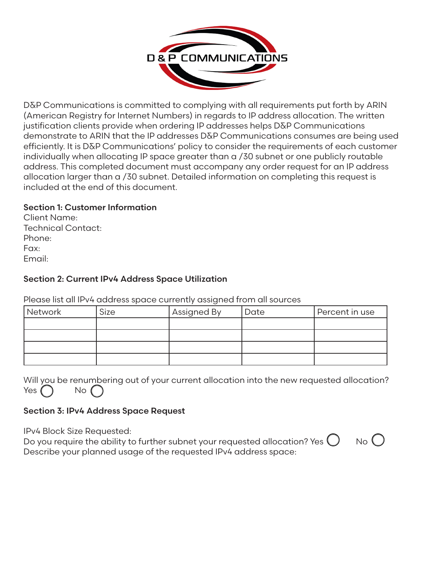

D&P Communications is committed to complying with all requirements put forth by ARIN (American Registry for Internet Numbers) in regards to IP address allocation. The written justification clients provide when ordering IP addresses helps D&P Communications demonstrate to ARIN that the IP addresses D&P Communications consumes are being used efficiently. It is D&P Communications' policy to consider the requirements of each customer individually when allocating IP space greater than a /30 subnet or one publicly routable address. This completed document must accompany any order request for an IP address allocation larger than a /30 subnet. Detailed information on completing this request is included at the end of this document.

# Section 1: Customer Information

Client Name: Technical Contact: Phone: Fax: Email:

# Section 2: Current IPv4 Address Space Utilization

Please list all IPv4 address space currently assigned from all sources

| Network | <b>Size</b> | Assigned By | Date | Percent in use |
|---------|-------------|-------------|------|----------------|
|         |             |             |      |                |
|         |             |             |      |                |
|         |             |             |      |                |
|         |             |             |      |                |

|  | Will you be renumbering out of your current allocation into the new requested allocation? |  |  |  |  |  |
|--|-------------------------------------------------------------------------------------------|--|--|--|--|--|
|  | Yes $\bigcap$ No $\bigcap$                                                                |  |  |  |  |  |

## Section 3: IPv4 Address Space Request

IPv4 Block Size Requested:

Do you require the ability to further subnet your requested allocation? Yes  $\bigcup$  No  $\bigcup$ Describe your planned usage of the requested IPv4 address space:

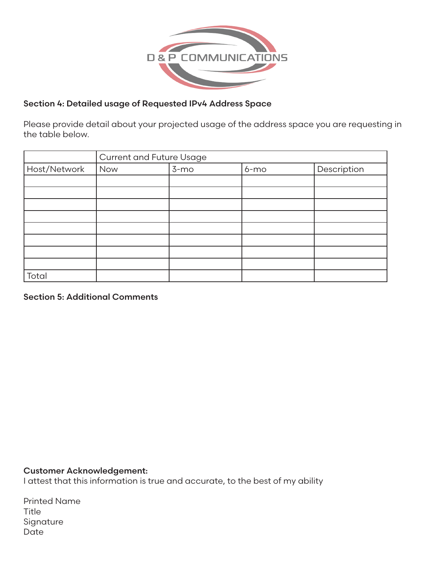

# Section 4: Detailed usage of Requested IPv4 Address Space

Please provide detail about your projected usage of the address space you are requesting in the table below.

|              | <b>Current and Future Usage</b> |        |        |             |  |
|--------------|---------------------------------|--------|--------|-------------|--|
| Host/Network | Now                             | $3-mo$ | $6-mo$ | Description |  |
|              |                                 |        |        |             |  |
|              |                                 |        |        |             |  |
|              |                                 |        |        |             |  |
|              |                                 |        |        |             |  |
|              |                                 |        |        |             |  |
|              |                                 |        |        |             |  |
|              |                                 |        |        |             |  |
|              |                                 |        |        |             |  |
| Total        |                                 |        |        |             |  |

## Section 5: Additional Comments

## Customer Acknowledgement:

I attest that this information is true and accurate, to the best of my ability

Printed Name **Title** Signature Date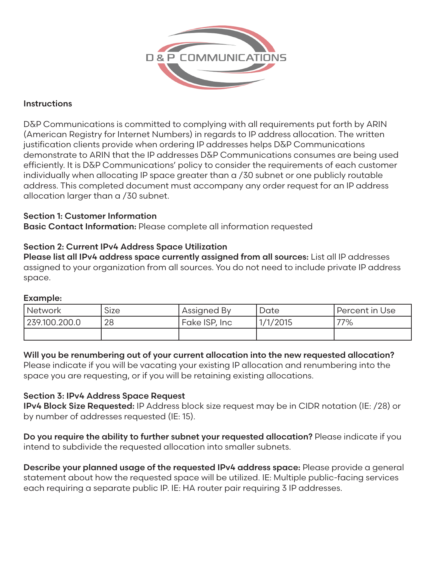

# **Instructions**

D&P Communications is committed to complying with all requirements put forth by ARIN (American Registry for Internet Numbers) in regards to IP address allocation. The written justification clients provide when ordering IP addresses helps D&P Communications demonstrate to ARIN that the IP addresses D&P Communications consumes are being used efficiently. It is D&P Communications' policy to consider the requirements of each customer individually when allocating IP space greater than a /30 subnet or one publicly routable address. This completed document must accompany any order request for an IP address allocation larger than a /30 subnet.

# Section 1: Customer Information

Basic Contact Information: Please complete all information requested

## Section 2: Current IPv4 Address Space Utilization

Please list all IPv4 address space currently assigned from all sources: List all IP addresses assigned to your organization from all sources. You do not need to include private IP address space.

## Example:

| <i><b>Network</b></i> | <b>Size</b> | Assigned By    | Date     | Percent in Use |
|-----------------------|-------------|----------------|----------|----------------|
| 239.100.200.0         | 28          | `Fake ISP, Inc | 1/1/2015 | 77%            |
|                       |             |                |          |                |

## Will you be renumbering out of your current allocation into the new requested allocation?

Please indicate if you will be vacating your existing IP allocation and renumbering into the space you are requesting, or if you will be retaining existing allocations.

## Section 3: IPv4 Address Space Request

IPv4 Block Size Requested: IP Address block size request may be in CIDR notation (IE: /28) or by number of addresses requested (IE: 15).

Do you require the ability to further subnet your requested allocation? Please indicate if you intend to subdivide the requested allocation into smaller subnets.

Describe your planned usage of the requested IPv4 address space: Please provide a general statement about how the requested space will be utilized. IE: Multiple public-facing services each requiring a separate public IP. IE: HA router pair requiring 3 IP addresses.